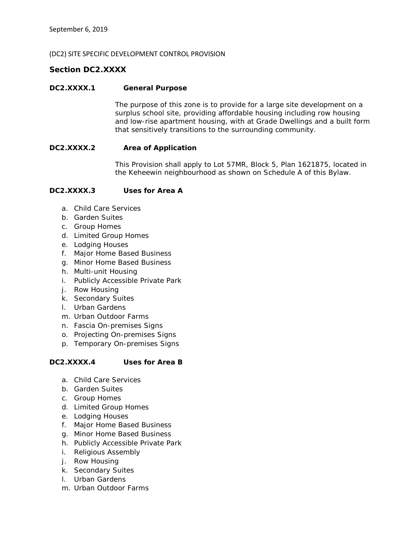#### (DC2) SITE SPECIFIC DEVELOPMENT CONTROL PROVISION

# *Section DC2.XXXX*

#### **DC2.XXXX.1 General Purpose**

The purpose of this zone is to provide for a large site development on a surplus school site, providing affordable housing including row housing and low-rise apartment housing, with at Grade Dwellings and a built form that sensitively transitions to the surrounding community.

#### **DC2.XXXX.2 Area of Application**

This Provision shall apply to Lot 57MR, Block 5, Plan 1621875, located in the Keheewin neighbourhood as shown on Schedule A of this Bylaw.

#### **DC2.XXXX.3 Uses for Area A**

- a. Child Care Services
- b. Garden Suites
- c. Group Homes
- d. Limited Group Homes
- e. Lodging Houses
- f. Major Home Based Business
- g. Minor Home Based Business
- h. Multi-unit Housing
- i. Publicly Accessible Private Park
- j. Row Housing
- k. Secondary Suites
- l. Urban Gardens
- m. Urban Outdoor Farms
- n. Fascia On-premises Signs
- o. Projecting On-premises Signs
- p. Temporary On-premises Signs

### **DC2.XXXX.4 Uses for Area B**

- a. Child Care Services
- b. Garden Suites
- c. Group Homes
- d. Limited Group Homes
- e. Lodging Houses
- f. Major Home Based Business
- g. Minor Home Based Business
- h. Publicly Accessible Private Park
- i. Religious Assembly
- j. Row Housing
- k. Secondary Suites
- l. Urban Gardens
- m. Urban Outdoor Farms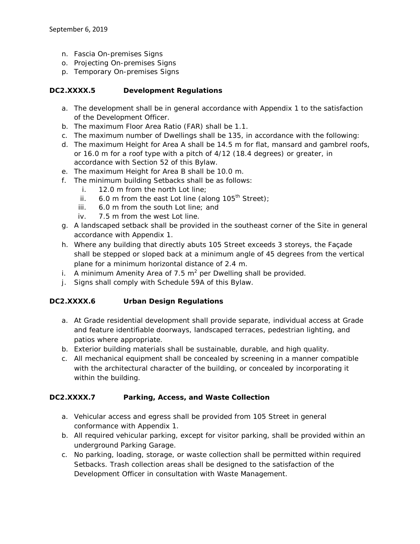- n. Fascia On-premises Signs
- o. Projecting On-premises Signs
- p. Temporary On-premises Signs

### **DC2.XXXX.5 Development Regulations**

- a. The development shall be in general accordance with Appendix 1 to the satisfaction of the Development Officer.
- b. The maximum Floor Area Ratio (FAR) shall be 1.1.
- c. The maximum number of Dwellings shall be 135, in accordance with the following:
- d. The maximum Height for Area A shall be 14.5 m for flat, mansard and gambrel roofs, or 16.0 m for a roof type with a pitch of 4/12 (18.4 degrees) or greater, in accordance with Section 52 of this Bylaw.
- e. The maximum Height for Area B shall be 10.0 m.
- f. The minimum building Setbacks shall be as follows:
	- i. 12.0 m from the north Lot line;
	- ii. 6.0 m from the east Lot line (along  $105<sup>th</sup>$  Street);
	- iii. 6.0 m from the south Lot line; and
	- iv. 7.5 m from the west Lot line.
- g. A landscaped setback shall be provided in the southeast corner of the Site in general accordance with Appendix 1.
- h. Where any building that directly abuts 105 Street exceeds 3 storeys, the Façade shall be stepped or sloped back at a minimum angle of 45 degrees from the vertical plane for a minimum horizontal distance of 2.4 m.
- i. A minimum Amenity Area of 7.5  $m^2$  per Dwelling shall be provided.
- j. Signs shall comply with Schedule 59A of this Bylaw.

### **DC2.XXXX.6 Urban Design Regulations**

- a. At Grade residential development shall provide separate, individual access at Grade and feature identifiable doorways, landscaped terraces, pedestrian lighting, and patios where appropriate.
- b. Exterior building materials shall be sustainable, durable, and high quality.
- c. All mechanical equipment shall be concealed by screening in a manner compatible with the architectural character of the building, or concealed by incorporating it within the building.

### **DC2.XXXX.7 Parking, Access, and Waste Collection**

- a. Vehicular access and egress shall be provided from 105 Street in general conformance with Appendix 1.
- b. All required vehicular parking, except for visitor parking, shall be provided within an underground Parking Garage.
- c. No parking, loading, storage, or waste collection shall be permitted within required Setbacks. Trash collection areas shall be designed to the satisfaction of the Development Officer in consultation with Waste Management.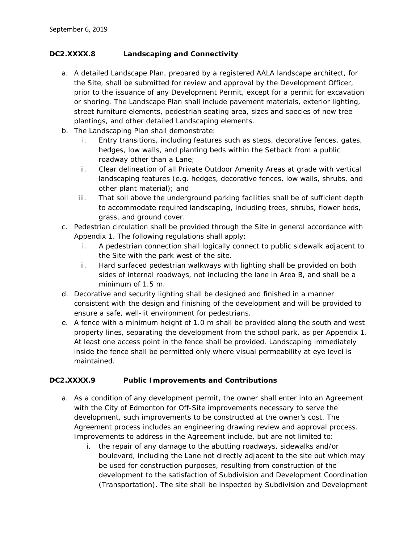# **DC2.XXXX.8 Landscaping and Connectivity**

- a. A detailed Landscape Plan, prepared by a registered AALA landscape architect, for the Site, shall be submitted for review and approval by the Development Officer, prior to the issuance of any Development Permit, except for a permit for excavation or shoring. The Landscape Plan shall include pavement materials, exterior lighting, street furniture elements, pedestrian seating area, sizes and species of new tree plantings, and other detailed Landscaping elements.
- b. The Landscaping Plan shall demonstrate:
	- i. Entry transitions, including features such as steps, decorative fences, gates, hedges, low walls, and planting beds within the Setback from a public roadway other than a Lane;
	- ii. Clear delineation of all Private Outdoor Amenity Areas at grade with vertical landscaping features (e.g. hedges, decorative fences, low walls, shrubs, and other plant material); and
	- iii. That soil above the underground parking facilities shall be of sufficient depth to accommodate required landscaping, including trees, shrubs, flower beds, grass, and ground cover.
- c. Pedestrian circulation shall be provided through the Site in general accordance with Appendix 1. The following regulations shall apply:
	- i. A pedestrian connection shall logically connect to public sidewalk adjacent to the Site with the park west of the site.
	- ii. Hard surfaced pedestrian walkways with lighting shall be provided on both sides of internal roadways, not including the lane in Area B, and shall be a minimum of 1.5 m.
- d. Decorative and security lighting shall be designed and finished in a manner consistent with the design and finishing of the development and will be provided to ensure a safe, well-lit environment for pedestrians.
- e. A fence with a minimum height of 1.0 m shall be provided along the south and west property lines, separating the development from the school park, as per Appendix 1. At least one access point in the fence shall be provided. Landscaping immediately inside the fence shall be permitted only where visual permeability at eye level is maintained.

# **DC2.XXXX.9 Public Improvements and Contributions**

- a. As a condition of any development permit, the owner shall enter into an Agreement with the City of Edmonton for Off-Site improvements necessary to serve the development, such improvements to be constructed at the owner's cost. The Agreement process includes an engineering drawing review and approval process. Improvements to address in the Agreement include, but are not limited to:
	- i. the repair of any damage to the abutting roadways, sidewalks and/or boulevard, including the Lane not directly adjacent to the site but which may be used for construction purposes, resulting from construction of the development to the satisfaction of Subdivision and Development Coordination (Transportation). The site shall be inspected by Subdivision and Development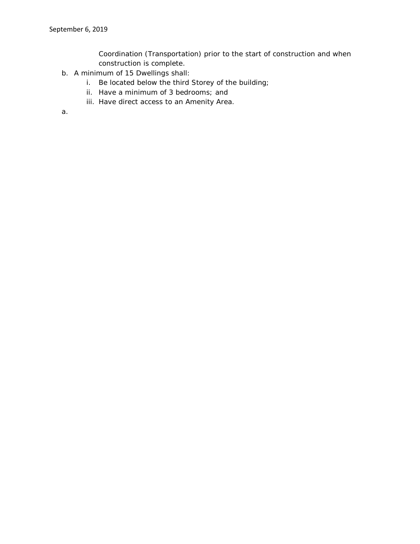Coordination (Transportation) prior to the start of construction and when construction is complete.

- b. A minimum of 15 Dwellings shall:
	- i. Be located below the third Storey of the building;
	- ii. Have a minimum of 3 bedrooms; and
	- iii. Have direct access to an Amenity Area.

a.